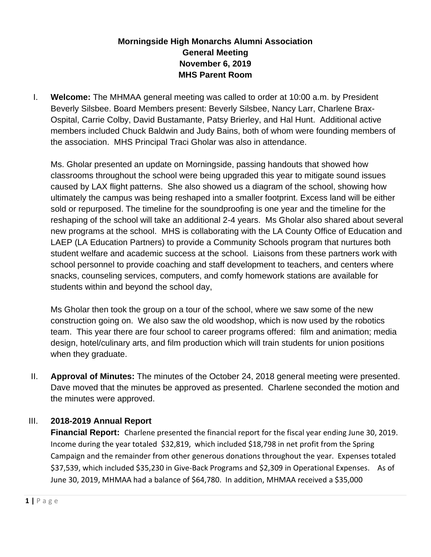## **Morningside High Monarchs Alumni Association General Meeting November 6, 2019 MHS Parent Room**

I. **Welcome:** The MHMAA general meeting was called to order at 10:00 a.m. by President Beverly Silsbee. Board Members present: Beverly Silsbee, Nancy Larr, Charlene Brax-Ospital, Carrie Colby, David Bustamante, Patsy Brierley, and Hal Hunt. Additional active members included Chuck Baldwin and Judy Bains, both of whom were founding members of the association. MHS Principal Traci Gholar was also in attendance.

Ms. Gholar presented an update on Morningside, passing handouts that showed how classrooms throughout the school were being upgraded this year to mitigate sound issues caused by LAX flight patterns. She also showed us a diagram of the school, showing how ultimately the campus was being reshaped into a smaller footprint. Excess land will be either sold or repurposed. The timeline for the soundproofing is one year and the timeline for the reshaping of the school will take an additional 2-4 years. Ms Gholar also shared about several new programs at the school. MHS is collaborating with the LA County Office of Education and LAEP (LA Education Partners) to provide a Community Schools program that nurtures both student welfare and academic success at the school. Liaisons from these partners work with school personnel to provide coaching and staff development to teachers, and centers where snacks, counseling services, computers, and comfy homework stations are available for students within and beyond the school day,

Ms Gholar then took the group on a tour of the school, where we saw some of the new construction going on. We also saw the old woodshop, which is now used by the robotics team. This year there are four school to career programs offered: film and animation; media design, hotel/culinary arts, and film production which will train students for union positions when they graduate.

II. **Approval of Minutes:** The minutes of the October 24, 2018 general meeting were presented. Dave moved that the minutes be approved as presented. Charlene seconded the motion and the minutes were approved.

## III. **2018-2019 Annual Report**

**Financial Report:** Charlene presented the financial report for the fiscal year ending June 30, 2019. Income during the year totaled \$32,819, which included \$18,798 in net profit from the Spring Campaign and the remainder from other generous donations throughout the year. Expenses totaled \$37,539, which included \$35,230 in Give-Back Programs and \$2,309 in Operational Expenses. As of June 30, 2019, MHMAA had a balance of \$64,780. In addition, MHMAA received a \$35,000